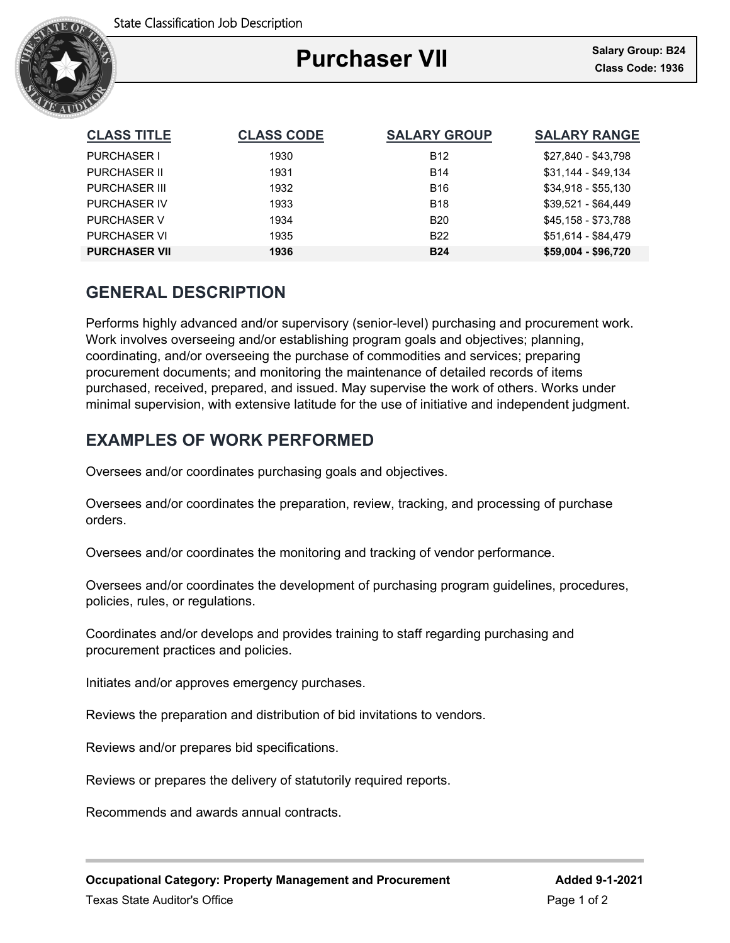

### Ξ **Purchaser VII**

| <b>CLASS TITLE</b>   | <b>CLASS CODE</b> | <b>SALARY GROUP</b> | <b>SALARY RANGE</b> |
|----------------------|-------------------|---------------------|---------------------|
| <b>PURCHASER I</b>   | 1930              | <b>B12</b>          | \$27,840 - \$43,798 |
| <b>PURCHASER II</b>  | 1931              | <b>B14</b>          | \$31,144 - \$49,134 |
| <b>PURCHASER III</b> | 1932              | <b>B16</b>          | $$34,918 - $55,130$ |
| <b>PURCHASER IV</b>  | 1933              | <b>B18</b>          | \$39,521 - \$64,449 |
| <b>PURCHASER V</b>   | 1934              | <b>B20</b>          | \$45,158 - \$73,788 |
| <b>PURCHASER VI</b>  | 1935              | <b>B22</b>          | \$51.614 - \$84.479 |
| <b>PURCHASER VII</b> | 1936              | <b>B24</b>          | \$59,004 - \$96,720 |

## **GENERAL DESCRIPTION**

Performs highly advanced and/or supervisory (senior-level) purchasing and procurement work. Work involves overseeing and/or establishing program goals and objectives; planning, coordinating, and/or overseeing the purchase of commodities and services; preparing procurement documents; and monitoring the maintenance of detailed records of items purchased, received, prepared, and issued. May supervise the work of others. Works under minimal supervision, with extensive latitude for the use of initiative and independent judgment.

# **EXAMPLES OF WORK PERFORMED**

Oversees and/or coordinates purchasing goals and objectives.

Oversees and/or coordinates the preparation, review, tracking, and processing of purchase orders.

Oversees and/or coordinates the monitoring and tracking of vendor performance.

Oversees and/or coordinates the development of purchasing program guidelines, procedures, policies, rules, or regulations.

Coordinates and/or develops and provides training to staff regarding purchasing and procurement practices and policies.

Initiates and/or approves emergency purchases.

Reviews the preparation and distribution of bid invitations to vendors.

Reviews and/or prepares bid specifications.

Reviews or prepares the delivery of statutorily required reports.

Recommends and awards annual contracts.